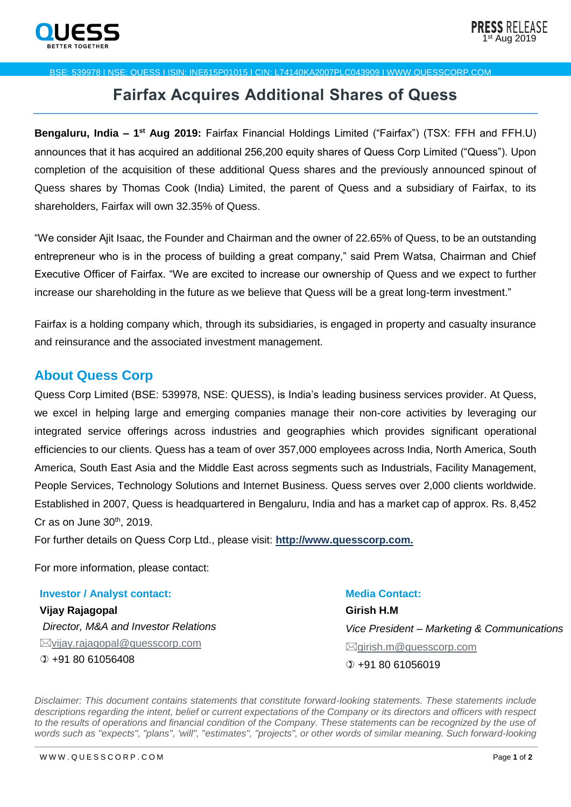

## BSE: 539978 I NSE: QUESS I ISIN: INE615P01015 I CIN: L74140KA2007PLC043909 I WWW.QUESSCORP.COM

## **Fairfax Acquires Additional Shares of Quess**

**Bengaluru, India – 1<sup>st</sup> Aug 2019:** Fairfax Financial Holdings Limited ("Fairfax") (TSX: FFH and FFH.U) announces that it has acquired an additional 256,200 equity shares of Quess Corp Limited ("Quess"). Upon completion of the acquisition of these additional Quess shares and the previously announced spinout of Quess shares by Thomas Cook (India) Limited, the parent of Quess and a subsidiary of Fairfax, to its shareholders, Fairfax will own 32.35% of Quess.

"We consider Ajit Isaac, the Founder and Chairman and the owner of 22.65% of Quess, to be an outstanding entrepreneur who is in the process of building a great company," said Prem Watsa, Chairman and Chief Executive Officer of Fairfax. "We are excited to increase our ownership of Quess and we expect to further increase our shareholding in the future as we believe that Quess will be a great long-term investment."

Fairfax is a holding company which, through its subsidiaries, is engaged in property and casualty insurance and reinsurance and the associated investment management.

## **About Quess Corp**

Quess Corp Limited (BSE: 539978, NSE: QUESS), is India's leading business services provider. At Quess, we excel in helping large and emerging companies manage their non-core activities by leveraging our integrated service offerings across industries and geographies which provides significant operational efficiencies to our clients. Quess has a team of over 357,000 employees across India, North America, South America, South East Asia and the Middle East across segments such as Industrials, Facility Management, People Services, Technology Solutions and Internet Business. Quess serves over 2,000 clients worldwide. Established in 2007, Quess is headquartered in Bengaluru, India and has a market cap of approx. Rs. 8,452 Cr as on June  $30<sup>th</sup>$ , 2019.

For further details on Quess Corp Ltd., please visit: **[http://www.quesscorp.com.](http://www.quesscorp.com/)**

For more information, please contact:

## **Investor / Analyst contact:** Media Contact:

**Vijay Rajagopal** *Director, M&A and Investor Relations*  $\boxtimes$ [vijay.rajagopal@quesscorp.com](mailto:vijay.rajagopal@quesscorp.com)  $(D + 918061056408$ 

**Girish H.M**  *Vice President – Marketing & Communications* [girish.m@quesscorp.com](mailto:girish.m@quesscorp.com) +91 80 61056019

*Disclaimer: This document contains statements that constitute forward-looking statements. These statements include descriptions regarding the intent, belief or current expectations of the Company or its directors and officers with respect*  to the results of operations and financial condition of the Company. These statements can be recognized by the use of *words such as ''expects", "plans", 'will", "estimates", "projects", or other words of similar meaning. Such forward-looking*